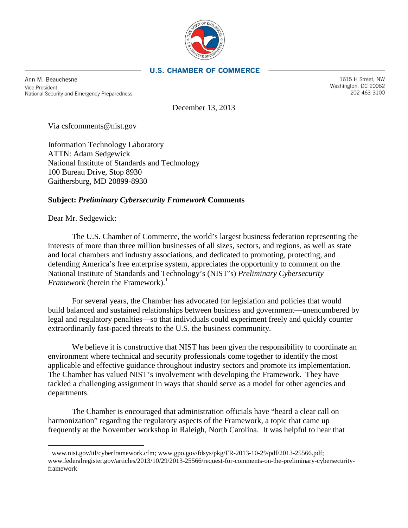

### **U.S. CHAMBER OF COMMERCE**

Ann M. Beauchesne **Vice President** National Security and Emergency Preparedness

1615 H Street. NW Washington, DC 20062 202-463-3100

December 13, 2013

Via csfcomments@nist.gov

Information Technology Laboratory ATTN: Adam Sedgewick National Institute of Standards and Technology 100 Bureau Drive, Stop 8930 Gaithersburg, MD 20899-8930

# **Subject:** *Preliminary Cybersecurity Framework* **Comments**

Dear Mr. Sedgewick:

The U.S. Chamber of Commerce, the world's largest business federation representing the interests of more than three million businesses of all sizes, sectors, and regions, as well as state and local chambers and industry associations, and dedicated to promoting, protecting, and defending America's free enterprise system, appreciates the opportunity to comment on the National Institute of Standards and Technology's (NIST's) *Preliminary Cybersecurity Framework* (herein the Framework).<sup>1</sup>

For several years, the Chamber has advocated for legislation and policies that would build balanced and sustained relationships between business and government—unencumbered by legal and regulatory penalties—so that individuals could experiment freely and quickly counter extraordinarily fast-paced threats to the U.S. the business community.

We believe it is constructive that NIST has been given the responsibility to coordinate an environment where technical and security professionals come together to identify the most applicable and effective guidance throughout industry sectors and promote its implementation. The Chamber has valued NIST's involvement with developing the Framework. They have tackled a challenging assignment in ways that should serve as a model for other agencies and departments.

The Chamber is encouraged that administration officials have "heard a clear call on harmonization" regarding the regulatory aspects of the Framework, a topic that came up frequently at the November workshop in Raleigh, North Carolina. It was helpful to hear that

<span id="page-0-0"></span><sup>1</sup> www.nist.gov/itl/cyberframework.cfm; www.gpo.gov/fdsys/pkg/FR-2013-10-29/pdf/2013-25566.pdf; www.federalregister.gov/articles/2013/10/29/2013-25566/request-for-comments-on-the-preliminary-cybersecurityframework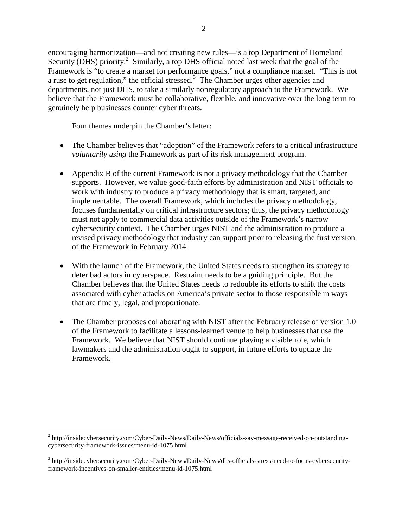encouraging harmonization—and not creating new rules—is a top Department of Homeland Security (DHS) priority.<sup>2</sup> Similarly, a top DHS official noted last week that the goal of the Framework is "to create a market for performance goals," not a compliance market. "This is not a ruse to get regulation," the official stressed. $3$  The Chamber urges other agencies and departments, not just DHS, to take a similarly nonregulatory approach to the Framework. We believe that the Framework must be collaborative, flexible, and innovative over the long term to genuinely help businesses counter cyber threats.

Four themes underpin the Chamber's letter:

- The Chamber believes that "adoption" of the Framework refers to a critical infrastructure *voluntarily using* the Framework as part of its risk management program.
- Appendix B of the current Framework is not a privacy methodology that the Chamber supports. However, we value good-faith efforts by administration and NIST officials to work with industry to produce a privacy methodology that is smart, targeted, and implementable. The overall Framework, which includes the privacy methodology, focuses fundamentally on critical infrastructure sectors; thus, the privacy methodology must not apply to commercial data activities outside of the Framework's narrow cybersecurity context. The Chamber urges NIST and the administration to produce a revised privacy methodology that industry can support prior to releasing the first version of the Framework in February 2014.
- With the launch of the Framework, the United States needs to strengthen its strategy to deter bad actors in cyberspace. Restraint needs to be a guiding principle. But the Chamber believes that the United States needs to redouble its efforts to shift the costs associated with cyber attacks on America's private sector to those responsible in ways that are timely, legal, and proportionate.
- The Chamber proposes collaborating with NIST after the February release of version 1.0 of the Framework to facilitate a lessons-learned venue to help businesses that use the Framework. We believe that NIST should continue playing a visible role, which lawmakers and the administration ought to support, in future efforts to update the Framework.

<span id="page-1-0"></span><sup>&</sup>lt;sup>2</sup> http://insidecybersecurity.com/Cyber-Daily-News/Daily-News/officials-say-message-received-on-outstandingcybersecurity-framework-issues/menu-id-1075.html

<span id="page-1-1"></span><sup>3</sup> http://insidecybersecurity.com/Cyber-Daily-News/Daily-News/dhs-officials-stress-need-to-focus-cybersecurityframework-incentives-on-smaller-entities/menu-id-1075.html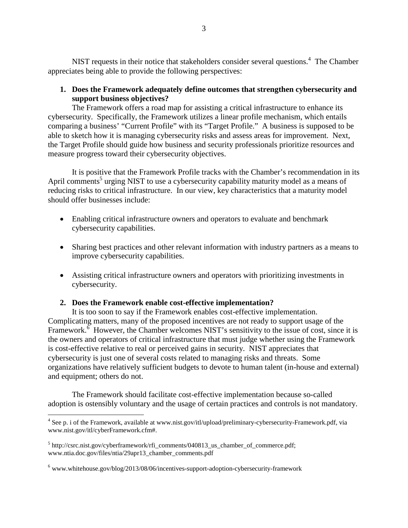NIST requests in their notice that stakeholders consider several questions.<sup>4</sup> The Chamber appreciates being able to provide the following perspectives:

**1. Does the Framework adequately define outcomes that strengthen cybersecurity and support business objectives?** 

The Framework offers a road map for assisting a critical infrastructure to enhance its cybersecurity. Specifically, the Framework utilizes a linear profile mechanism, which entails comparing a business' "Current Profile" with its "Target Profile." A business is supposed to be able to sketch how it is managing cybersecurity risks and assess areas for improvement. Next, the Target Profile should guide how business and security professionals prioritize resources and measure progress toward their cybersecurity objectives.

It is positive that the Framework Profile tracks with the Chamber's recommendation in its April comments<sup>5</sup> urging NIST to use a cybersecurity capability maturity model as a means of reducing risks to critical infrastructure. In our view, key characteristics that a maturity model should offer businesses include:

- Enabling critical infrastructure owners and operators to evaluate and benchmark cybersecurity capabilities.
- Sharing best practices and other relevant information with industry partners as a means to improve cybersecurity capabilities.
- Assisting critical infrastructure owners and operators with prioritizing investments in cybersecurity.

### **2. Does the Framework enable cost-effective implementation?**

It is too soon to say if the Framework enables cost-effective implementation. Complicating matters, many of the proposed incentives are not ready to support usage of the Framework. $\frac{6}{5}$  However, the Chamber welcomes NIST's sensitivity to the issue of cost, since it is the owners and operators of critical infrastructure that must judge whether using the Framework is cost-effective relative to real or perceived gains in security. NIST appreciates that cybersecurity is just one of several costs related to managing risks and threats. Some organizations have relatively sufficient budgets to devote to human talent (in-house and external) and equipment; others do not.

The Framework should facilitate cost-effective implementation because so-called adoption is ostensibly voluntary and the usage of certain practices and controls is not mandatory.

<span id="page-2-0"></span><sup>4</sup> See p. i of the Framework, available at www.nist.gov/itl/upload/preliminary-cybersecurity-Framework.pdf, via www.nist.gov/itl/cyberFramework.cfm#.

<span id="page-2-1"></span> $5 \text{ http://csrc.nist.gov/cyberframework/rfi}$  comments/040813 us chamber of commerce.pdf; www.ntia.doc.gov/files/ntia/29apr13\_chamber\_comments.pdf

<span id="page-2-2"></span> $6$  www.whitehouse.gov/blog/2013/08/06/incentives-support-adoption-cybersecurity-framework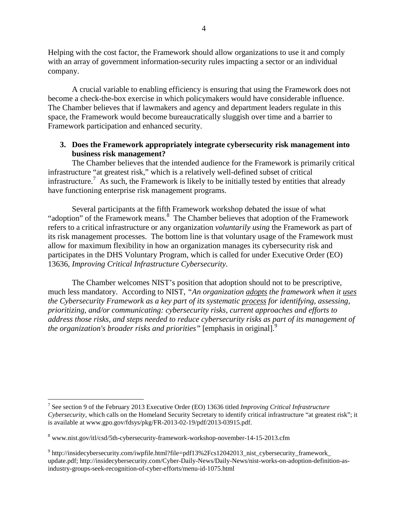Helping with the cost factor, the Framework should allow organizations to use it and comply with an array of government information-security rules impacting a sector or an individual company.

A crucial variable to enabling efficiency is ensuring that using the Framework does not become a check-the-box exercise in which policymakers would have considerable influence. The Chamber believes that if lawmakers and agency and department leaders regulate in this space, the Framework would become bureaucratically sluggish over time and a barrier to Framework participation and enhanced security.

# **3. Does the Framework appropriately integrate cybersecurity risk management into business risk management?**

The Chamber believes that the intended audience for the Framework is primarily critical infrastructure "at greatest risk," which is a relatively well-defined subset of critical infrastructure.<sup>7</sup> As such, the Framework is likely to be initially tested by entities that already have functioning enterprise risk management programs.

Several participants at the fifth Framework workshop debated the issue of what "adoption" of the Framework means.<sup>8</sup> The Chamber believes that adoption of the Framework refers to a critical infrastructure or any organization *voluntarily using* the Framework as part of its risk management processes. The bottom line is that voluntary usage of the Framework must allow for maximum flexibility in how an organization manages its cybersecurity risk and participates in the DHS Voluntary Program, which is called for under Executive Order (EO) 13636, *Improving Critical Infrastructure Cybersecurity*.

The Chamber welcomes NIST's position that adoption should not to be prescriptive, much less mandatory. According to NIST, *"An organization adopts the framework when it uses the Cybersecurity Framework as a key part of its systematic process for identifying, assessing, prioritizing, and/or communicating: cybersecurity risks, current approaches and efforts to address those risks, and steps needed to reduce cybersecurity risks as part of its management of the organization's broader risks and priorities*" [emphasis in original].<sup>9</sup>

<span id="page-3-0"></span><sup>7</sup> See section 9 of the February 2013 Executive Order (EO) 13636 titled *Improving Critical Infrastructure Cybersecurity*, which calls on the Homeland Security Secretary to identify critical infrastructure "at greatest risk"; it is available at www.gpo.gov/fdsys/pkg/FR-2013-02-19/pdf/2013-03915.pdf.

<span id="page-3-1"></span><sup>8</sup> www.nist.gov/itl/csd/5th-cybersecurity-framework-workshop-november-14-15-2013.cfm

<span id="page-3-2"></span><sup>9</sup> http://insidecybersecurity.com/iwpfile.html?file=pdf13%2Fcs12042013\_nist\_cybersecurity\_framework\_ update.pdf; http://insidecybersecurity.com/Cyber-Daily-News/Daily-News/nist-works-on-adoption-definition-asindustry-groups-seek-recognition-of-cyber-efforts/menu-id-1075.html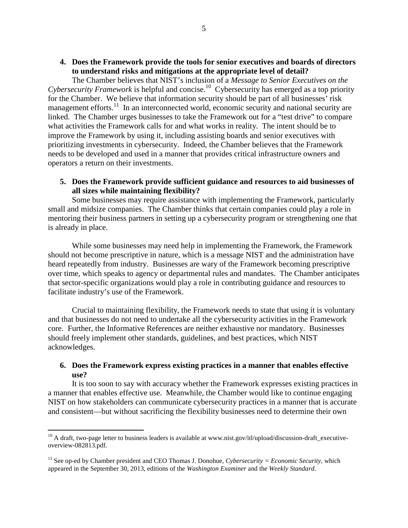**4. Does the Framework provide the tools for senior executives and boards of directors to understand risks and mitigations at the appropriate level of detail?** 

The Chamber believes that NIST's inclusion of a *Message to Senior Executives on the Cybersecurity Framework* is helpful and concise.<sup>10</sup> Cybersecurity has emerged as a top priority for the Chamber. We believe that information security should be part of all businesses' risk management efforts.<sup>11</sup> In an interconnected world, economic security and national security are linked. The Chamber urges businesses to take the Framework out for a "test drive" to compare what activities the Framework calls for and what works in reality. The intent should be to improve the Framework by using it, including assisting boards and senior executives with prioritizing investments in cybersecurity. Indeed, the Chamber believes that the Framework needs to be developed and used in a manner that provides critical infrastructure owners and operators a return on their investments.

**5. Does the Framework provide sufficient guidance and resources to aid businesses of all sizes while maintaining flexibility?** 

Some businesses may require assistance with implementing the Framework, particularly small and midsize companies. The Chamber thinks that certain companies could play a role in mentoring their business partners in setting up a cybersecurity program or strengthening one that is already in place.

While some businesses may need help in implementing the Framework, the Framework should not become prescriptive in nature, which is a message NIST and the administration have heard repeatedly from industry. Businesses are wary of the Framework becoming prescriptive over time, which speaks to agency or departmental rules and mandates. The Chamber anticipates that sector-specific organizations would play a role in contributing guidance and resources to facilitate industry's use of the Framework.

Crucial to maintaining flexibility, the Framework needs to state that using it is voluntary and that businesses do not need to undertake all the cybersecurity activities in the Framework core. Further, the Informative References are neither exhaustive nor mandatory. Businesses should freely implement other standards, guidelines, and best practices, which NIST acknowledges.

### **6. Does the Framework express existing practices in a manner that enables effective use?**

It is too soon to say with accuracy whether the Framework expresses existing practices in a manner that enables effective use. Meanwhile, the Chamber would like to continue engaging NIST on how stakeholders can communicate cybersecurity practices in a manner that is accurate and consistent—but without sacrificing the flexibility businesses need to determine their own

<span id="page-4-0"></span><sup>&</sup>lt;sup>10</sup> A draft, two-page letter to business leaders is available at www.nist.gov/itl/upload/discussion-draft\_executiveoverview-082813.pdf.

<span id="page-4-1"></span><sup>&</sup>lt;sup>11</sup> See op-ed by Chamber president and CEO Thomas J. Donohue, *Cybersecurity = Economic Security*, which appeared in the September 30, 2013, editions of the *Washington Examiner* and the *Weekly Standard*.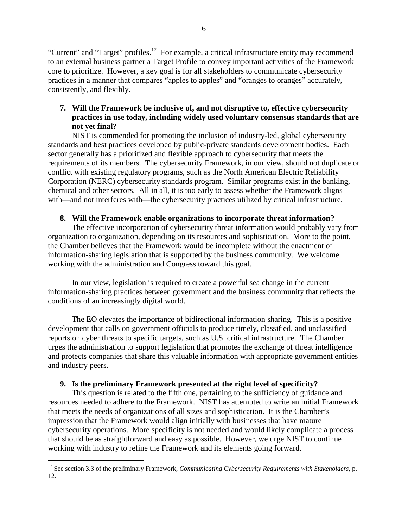"Current" and "Target" profiles.<sup>12</sup> For example, a critical infrastructure entity may recommend to an external business partner a Target Profile to convey important activities of the Framework core to prioritize. However, a key goal is for all stakeholders to communicate cybersecurity practices in a manner that compares "apples to apples" and "oranges to oranges" accurately, consistently, and flexibly.

# **7. Will the Framework be inclusive of, and not disruptive to, effective cybersecurity practices in use today, including widely used voluntary consensus standards that are not yet final?**

NIST is commended for promoting the inclusion of industry-led, global cybersecurity standards and best practices developed by public-private standards development bodies. Each sector generally has a prioritized and flexible approach to cybersecurity that meets the requirements of its members. The cybersecurity Framework, in our view, should not duplicate or conflict with existing regulatory programs, such as the North American Electric Reliability Corporation (NERC) cybersecurity standards program. Similar programs exist in the banking, chemical and other sectors. All in all, it is too early to assess whether the Framework aligns with—and not interferes with—the cybersecurity practices utilized by critical infrastructure.

# **8. Will the Framework enable organizations to incorporate threat information?**

The effective incorporation of cybersecurity threat information would probably vary from organization to organization, depending on its resources and sophistication. More to the point, the Chamber believes that the Framework would be incomplete without the enactment of information-sharing legislation that is supported by the business community. We welcome working with the administration and Congress toward this goal.

In our view, legislation is required to create a powerful sea change in the current information-sharing practices between government and the business community that reflects the conditions of an increasingly digital world.

The EO elevates the importance of bidirectional information sharing. This is a positive development that calls on government officials to produce timely, classified, and unclassified reports on cyber threats to specific targets, such as U.S. critical infrastructure. The Chamber urges the administration to support legislation that promotes the exchange of threat intelligence and protects companies that share this valuable information with appropriate government entities and industry peers.

# **9. Is the preliminary Framework presented at the right level of specificity?**

This question is related to the fifth one, pertaining to the sufficiency of guidance and resources needed to adhere to the Framework. NIST has attempted to write an initial Framework that meets the needs of organizations of all sizes and sophistication. It is the Chamber's impression that the Framework would align initially with businesses that have mature cybersecurity operations. More specificity is not needed and would likely complicate a process that should be as straightforward and easy as possible. However, we urge NIST to continue working with industry to refine the Framework and its elements going forward.

<span id="page-5-0"></span><sup>12</sup> See section 3.3 of the preliminary Framework, *Communicating Cybersecurity Requirements with Stakeholders*, p. 12.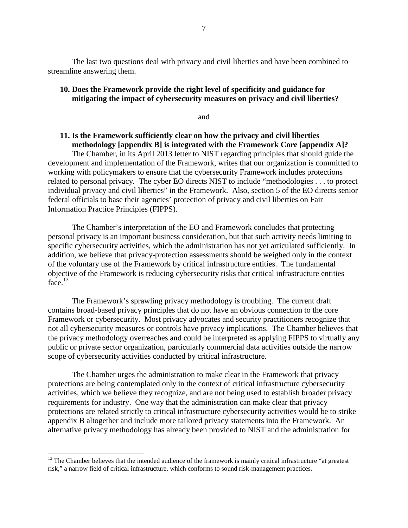The last two questions deal with privacy and civil liberties and have been combined to streamline answering them.

# **10. Does the Framework provide the right level of specificity and guidance for mitigating the impact of cybersecurity measures on privacy and civil liberties?**

and

# **11. Is the Framework sufficiently clear on how the privacy and civil liberties methodology [appendix B] is integrated with the Framework Core [appendix A]?**

The Chamber, in its April 2013 letter to NIST regarding principles that should guide the development and implementation of the Framework, writes that our organization is committed to working with policymakers to ensure that the cybersecurity Framework includes protections related to personal privacy. The cyber EO directs NIST to include "methodologies . . . to protect individual privacy and civil liberties" in the Framework. Also, section 5 of the EO directs senior federal officials to base their agencies' protection of privacy and civil liberties on Fair Information Practice Principles (FIPPS).

The Chamber's interpretation of the EO and Framework concludes that protecting personal privacy is an important business consideration, but that such activity needs limiting to specific cybersecurity activities, which the administration has not yet articulated sufficiently. In addition, we believe that privacy-protection assessments should be weighed only in the context of the voluntary use of the Framework by critical infrastructure entities. The fundamental objective of the Framework is reducing cybersecurity risks that critical infrastructure entities  $face<sup>13</sup>$ 

The Framework's sprawling privacy methodology is troubling. The current draft contains broad-based privacy principles that do not have an obvious connection to the core Framework or cybersecurity. Most privacy advocates and security practitioners recognize that not all cybersecurity measures or controls have privacy implications. The Chamber believes that the privacy methodology overreaches and could be interpreted as applying FIPPS to virtually any public or private sector organization, particularly commercial data activities outside the narrow scope of cybersecurity activities conducted by critical infrastructure.

The Chamber urges the administration to make clear in the Framework that privacy protections are being contemplated only in the context of critical infrastructure cybersecurity activities, which we believe they recognize, and are not being used to establish broader privacy requirements for industry. One way that the administration can make clear that privacy protections are related strictly to critical infrastructure cybersecurity activities would be to strike appendix B altogether and include more tailored privacy statements into the Framework. An alternative privacy methodology has already been provided to NIST and the administration for

<span id="page-6-0"></span> $<sup>13</sup>$  The Chamber believes that the intended audience of the framework is mainly critical infrastructure "at greatest"</sup> risk," a narrow field of critical infrastructure, which conforms to sound risk-management practices.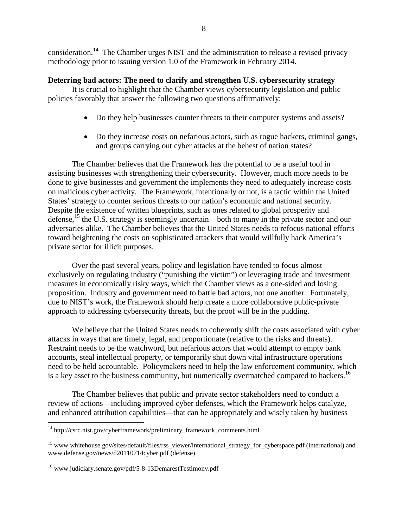consideration.[14](#page-7-0) The Chamber urges NIST and the administration to release a revised privacy methodology prior to issuing version 1.0 of the Framework in February 2014.

### **Deterring bad actors: The need to clarify and strengthen U.S. cybersecurity strategy**

It is crucial to highlight that the Chamber views cybersecurity legislation and public policies favorably that answer the following two questions affirmatively:

- Do they help businesses counter threats to their computer systems and assets?
- Do they increase costs on nefarious actors, such as rogue hackers, criminal gangs, and groups carrying out cyber attacks at the behest of nation states?

The Chamber believes that the Framework has the potential to be a useful tool in assisting businesses with strengthening their cybersecurity. However, much more needs to be done to give businesses and government the implements they need to adequately increase costs on malicious cyber activity. The Framework, intentionally or not, is a tactic within the United States' strategy to counter serious threats to our nation's economic and national security. Despite the existence of written blueprints, such as ones related to global prosperity and defense,  $^{15}$  the U.S. strategy is seemingly uncertain—both to many in the private sector and our adversaries alike. The Chamber believes that the United States needs to refocus national efforts toward heightening the costs on sophisticated attackers that would willfully hack America's private sector for illicit purposes.

Over the past several years, policy and legislation have tended to focus almost exclusively on regulating industry ("punishing the victim") or leveraging trade and investment measures in economically risky ways, which the Chamber views as a one-sided and losing proposition. Industry and government need to battle bad actors, not one another. Fortunately, due to NIST's work, the Framework should help create a more collaborative public-private approach to addressing cybersecurity threats, but the proof will be in the pudding.

We believe that the United States needs to coherently shift the costs associated with cyber attacks in ways that are timely, legal, and proportionate (relative to the risks and threats). Restraint needs to be the watchword, but nefarious actors that would attempt to empty bank accounts, steal intellectual property, or temporarily shut down vital infrastructure operations need to be held accountable. Policymakers need to help the law enforcement community, which is a key asset to the business community, but numerically overmatched compared to hackers.<sup>16</sup>

The Chamber believes that public and private sector stakeholders need to conduct a review of actions—including improved cyber defenses, which the Framework helps catalyze, and enhanced attribution capabilities—that can be appropriately and wisely taken by business

<span id="page-7-0"></span><sup>14</sup> http://csrc.nist.gov/cyberframework/preliminary\_framework\_comments.html

<span id="page-7-1"></span><sup>&</sup>lt;sup>15</sup> www.whitehouse.gov/sites/default/files/rss\_viewer/international\_strategy\_for\_cyberspace.pdf (international) and www.defense.gov/news/d20110714cyber.pdf (defense)

<span id="page-7-2"></span><sup>16</sup> www.judiciary.senate.gov/pdf/5-8-13DemarestTestimony.pdf